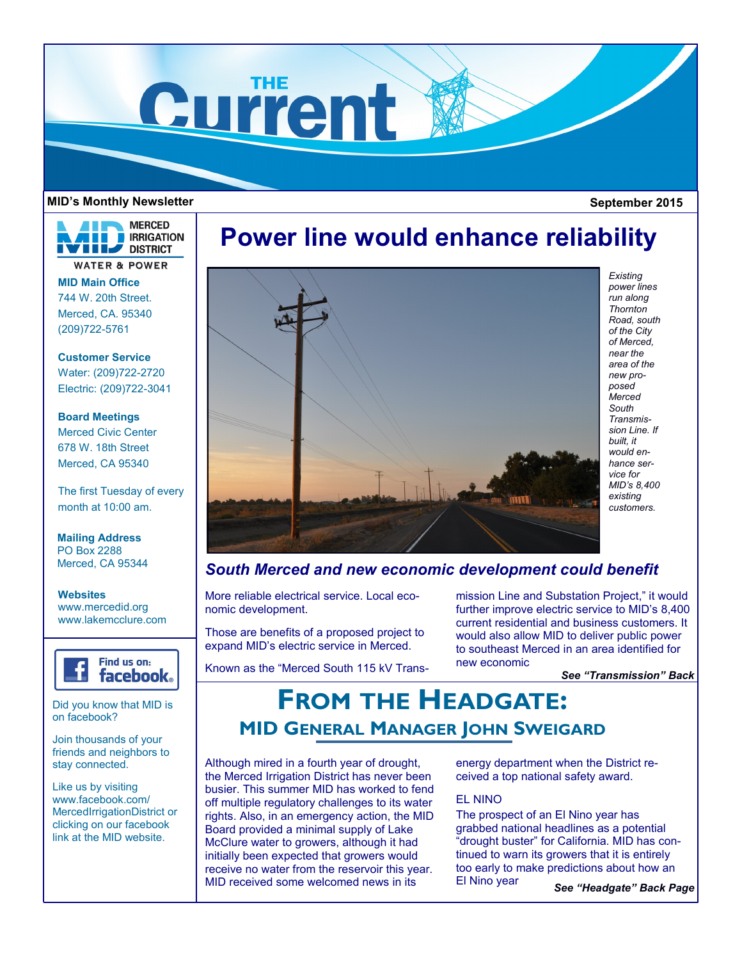

#### **MID's Monthly Newsletter September 2015**



**MID Main Office** 744 W. 20th Street. Merced, CA. 95340 (209)722-5761

**Customer Service** Water: (209)722-2720 Electric: (209)722-3041

**Board Meetings** Merced Civic Center 678 W. 18th Street Merced, CA 95340

The first Tuesday of every month at 10:00 am.

**Mailing Address** PO Box 2288 Merced, CA 95344

**Websites** www.mercedid.org www.lakemcclure.com



Did you know that MID is on facebook?

Join thousands of your friends and neighbors to stay connected.

Like us by visiting www.facebook.com/ MercedIrrigationDistrict or clicking on our facebook link at the MID website.

# **Power line would enhance reliability**



*Existing power lines run along Thornton Road, south of the City of Merced, near the area of the new proposed Merced South Transmission Line. If built, it would enhance service for MID's 8,400 existing customers.* 

### *South Merced and new economic development could benefit*

More reliable electrical service. Local economic development.

Those are benefits of a proposed project to expand MID's electric service in Merced.

Known as the "Merced South 115 kV Trans-

mission Line and Substation Project," it would further improve electric service to MID's 8,400 current residential and business customers. It would also allow MID to deliver public power to southeast Merced in an area identified for new economic

*See "Transmission" Back* 

## **FROM THE HEADGATE: MID GENERAL MANAGER JOHN SWEIGARD**

Although mired in a fourth year of drought, the Merced Irrigation District has never been busier. This summer MID has worked to fend off multiple regulatory challenges to its water rights. Also, in an emergency action, the MID Board provided a minimal supply of Lake McClure water to growers, although it had initially been expected that growers would receive no water from the reservoir this year. MID received some welcomed news in its

energy department when the District received a top national safety award.

### EL NINO

The prospect of an El Nino year has grabbed national headlines as a potential "drought buster" for California. MID has continued to warn its growers that it is entirely too early to make predictions about how an El Nino year

*See "Headgate" Back Page*